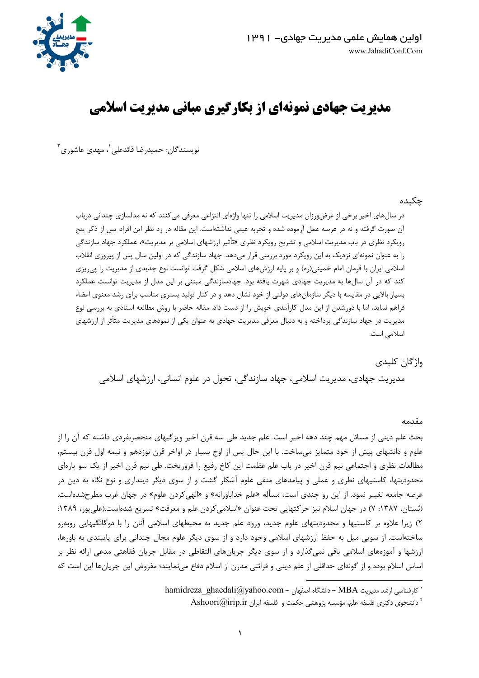

# مدیریت جهادی نمونهای از بکارگیری مبانی مدیریت اسلامی

نويسندگان: حميدرضا قائدعلي <sup>י</sup>، مهدي عاشوري <sup>۲</sup>

### حكىدە

در سال های اخیر برخی از غرض ورزان مدیریت اسلامی را تنها واژهای انتزاعی معرفی می کنند که نه مدلسازی چندانی درباب آن صورت گرفته و نه در عرصه عمل آزموده شده و تجربه عینی نداشتهاست. این مقاله در رد نظر این افراد پس از ذکر پنج رویکرد نظری در باب مدیریت اسلامی و تشریح رویکرد نظری «تأثیر ارزشهای اسلامی بر مدیریت»، عملکرد جهاد سازندگی را به عنوان نمونهای نزدیک به این رویکرد مورد بررسی قرار می۵هد. جهاد سازندگی که در اولین سال پس از پیروزی انقلاب اسلامی ایران با فرمان امام خمینی(ره) و بر پایه ارزشهای اسلامی شکل گرفت توانست نوع جدیدی از مدیریت را پی ریزی کند که در آن سالها به مدیریت جهادی شهرت یافته بود. جهادسازندگی مبتنی بر این مدل از مدیریت توانست عملکرد بسیار بالایی در مقایسه با دیگر سازمانهای دولتی از خود نشان دهد و در کنار تولید بستری مناسب برای رشد معنوی اعضاء فراهم نماید، اما با دورشدن از این مدل کارآمدی خویش را از دست داد. مقاله حاضر با روش مطالعه اسنادی به بررسی نوع مدیریت در جهاد سازندگی پرداخته و به دنبال معرفی مدیریت جهادی به عنوان یکی از نمودهای مدیریت متأثر از ارزشهای اسلامی است.

### واژگان كليدى

مديريت جهادي، مديريت اسلامي، جهاد سازندگي، تحول در علوم انساني، ارزشهاي اسلامي

### مقدمه

بحث علم دینی از مسائل مهم چند دهه اخیر است. علم جدید طی سه قرن اخیر ویزگیهای منحصربفردی داشته که آن را از علوم و دانشهای پیش از خود متمایز میساخت. با این حال پس از اوج بسیار در اواخر قرن نوزدهم و نیمه اول قرن بیستم، مطالعات نظری و اجتماعی نیم قرن اخیر در باب علم عظمت این کاخ رفیع را فروریخت. طی نیم قرن اخیر از یک سو پارهای محدودیتها، کاستیهای نظری و عملی و پیامدهای منفی علوم آشکار گشت و از سوی دیگر دینداری و نوع نگاه به دین در عرصه جامعه تغییر نمود. از این رو چندی است، مسأله «علم خداباورانه» و «الهی کردن علوم» در جهان غرب مطرحشدهاست. (بَستان، ۱۳۸۷: ۷) در جهان اسلام نیز حرکتهایی تحت عنوان «اسلامی کردن علم و معرفت» تسریع شدهاست.(علی پور، ۱۳۸۹: ۲) زیرا علاوه بر کاستیها و محدودیتهای علوم جدید، ورود علم جدید به محیطهای اسلامی آنان را با دوگانگیهایی روبهرو ساختهاست. از سویی میل به حفظ ارزشهای اسلامی وجود دارد و از سوی دیگر علوم مجال چندانی برای پایبندی به باورها، ارزشها و آموزههای اسلامی باقی نمی گذارد و از سوی دیگر جریانهای التقاطی در مقابل جریان فقاهتی مدعی ارائه نظر بر اساس اسلام بوده و از گونهای حداقلی از علم دینی و قرائتی مدرن از اسلام دفاع مینمایند؛ مفروض این جریانها این است که

hamidreza\_ghaedali@yahoo.com - دانشگاه اصفهان - hamidreza\_ghaedali@yahoo.com - دانشگاه اصفهان

Ashoori@irip.ir دانشجوی دکتری فلسفه علم، مؤسسه پژوهشی حکمت و فلسفه ایران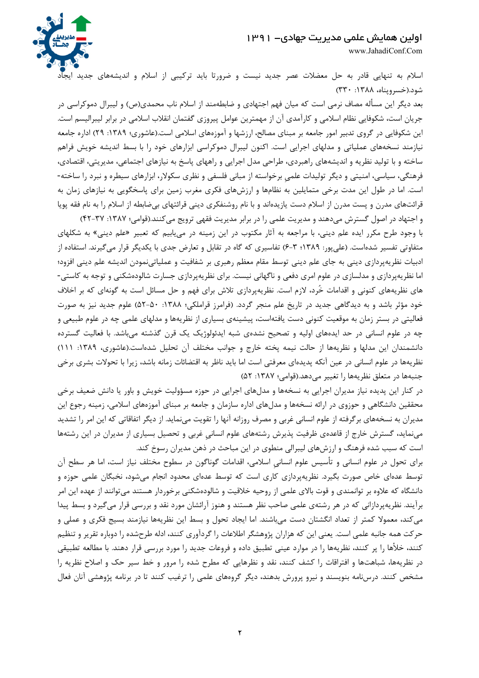

www.JahadiConf.Com

اسلام به تنهایی قادر به حل معضلات عصر جدید نیست و ضرورتا باید ترکیبی از اسلام و اندیشههای جدید ایجاد شود.(خسرويناه، ۱۳۸۸: ۳۳۰)

بعد دیگر این مسأله مصاف نرمی است که میان فهم اجتهادی و ضابطهمند از اسلام ناب محمدی(ص) و لیبرال دموکراسی در جریان است، شکوفایی نظام اسلامی و کارآمدی آن از مهمترین عوامل پیروزی گفتمان انقلاب اسلامی در برابر لیبرالیسم است. این شکوفایی در گروی تدبیر امور جامعه بر مبنای مصالح، ارزشها و آموزههای اسلامی است.(عاشوری؛ ۱۳۸۹: ۲۹) اداره جامعه نیازمند نسخههای عملیاتی و مدلهای اجرایی است. اکنون لیبرال دموکراسی ابزارهای خود را با بسط اندیشه خویش فراهم ساخته و با تولید نظریه و اندیشههای راهبردی، طراحی مدل اجرایی و راههای پاسخ به نیازهای اجتماعی، مدیریتی، اقتصادی، فرهنگی، سیاسی، امنیتی و دیگر تولیدات علمیِ برخواسته از مبانی فلسفی و نظری سکولار، ابزارهای سیطره و نبرد را ساخته-است. اما در طول این مدت برخی متمایلین به نظامها و ارزشهای فکری مغرب زمین برای پاسخگویی به نیازهای زمان به قرائتهای مدرن و پست مدرن از اسلام دست یازیدهاند و با نام روشنفکری دینی قرائتهای بیضابطه از اسلام را به نام فقه پویا

و اجتهاد در اصول گسترش می دهند و مدیریت علمی را در برابر مدیریت فقهی ترویج می کنند.(قوامی؛ ۱۳۸۷: ۴۲-۴۲) با وجود طرح مکرر ایده علم دینی، با مراجعه به آثار مکتوب در این زمینه در می یابیم که تعبیر «علم دینی» به شکلهای متفاوتی تفسیر شدهاست. (علیپور: ۱۳۸۹؛ ۳-۶) تفاسیری که گاه در تقابل و تعارض جدی با یکدیگر قرار میگیرند. استفاده از ادبیات نظریهپردازی دینی به جای علم دینی توسط مقام معظم رهبری بر شفافیت و عملیاتینمودن اندیشه علم دینی افزود؛ اما نظریهپردازی و مدلسازی در علوم امری دفعی و ناگهانی نیست. برای نظریهپردازی جسارت شالودهشکنی و توجه به کاستی-های نظریههای کنونی و اقدامات خُرد، لازم است. نظریهپردازی تلاش برای فهم و حل مسائل است به گونهای که بر اخلاف خود مؤثر باشد و به دیدگاهی جدید در تاریخ علم منجر گردد. (فرامرز قراملکی؛ ۱۳۸۸: ۵۰-۵۲) علوم جدید نیز به صورت فعالیتی در بستر زمان به موقعیت کنونی دست یافتهاست، پیشینهی بسیاری از نظریهها و مدلهای علمی چه در علوم طبیعی و چه در علوم انسانی در حد ایدههای اولیه و تصحیح نشدهی شبه ایدئولوژیک یک قرن گذشته میباشد. با فعالیت گسترده دانشمندان این مدلها و نظریهها از حالت نیمه پخته خارج و جوانب مختلف آن تحلیل شدهاست.(عاشوری، ۱۳۸۹: ۱۱۱) نظریهها در علوم انسانی در عین آنکه پدیدهای معرفتی است اما باید ناظر به اقتضائات زمانه باشد، زیرا با تحولات بشری برخی جنبهها در متعلق نظريهها را تغيير مي دهد.(قوامي؛ ١٣٨٧: ٥٢)

در کنار این پدیده نیاز مدیران اجرایی به نسخهها و مدلهای اجرایی در حوزه مسؤولیت خویش و باور یا دانش ضعیف برخی محققین دانشگاهی و حوزوی در ارائه نسخهها و مدلهای اداره سازمان و جامعه بر مبنای آموزههای اسلامی، زمینه رجوع این مدیران به نسخههای برگرفته از علوم انسانی غربی و مصرف روزانه آنها را تقویت مینماید. از دیگر اتفاقاتی که این امر را تشدید می نماید، گسترش خارج از قاعدهی ظرفیت پذیرش رشتههای علوم انسانی غربی و تحصیل بسیاری از مدیران در این رشتهها است که سبب شده فرهنگ و ارزشهای لیبرالی منطوی در این مباحث در ذهن مدیران رسوخ کند.

برای تحول در علوم انسانی و تأسیس علوم انسانی اسلامی، اقدامات گوناگون در سطوح مختلف نیاز است، اما هر سطح آن توسط عدهای خاص صورت بگیرد. نظریهپردازی کاری است که توسط عدهای محدود انجام میشود، نخبگان علمی حوزه و دانشگاه که علاوه بر توانمندی و قوت بالای علمی از روحیه خلاقیت و شالودهشکنی برخوردار هستند میتوانند از عهده این امر برآیند. نظریهپردازانی که در هر رشتهی علمی صاحب نظر هستند و هنوز آرائشان مورد نقد و بررسی قرار میگیرد و بسط پیدا می کند، معمولا کمتر از تعداد انگشتان دست میباشند. اما ایجاد تحول و بسط این نظریهها نیازمند بسیج فکری و عملی و حرکت همه جانبه علمی است. یعنی این که هزاران پژوهشگر اطلاعات را گردآوری کنند، ادله طرحشده را دوباره تقریر و تنظیم کنند، خلأها را پر کنند، نظریهها را در موارد عینی تطبیق داده و فروعات جدید را مورد بررسی قرار دهند. با مطالعه تطبیقی در نظریهها، شباهتها و افتراقات را کشف کنند، نقد و نظرهایی که مطرح شده را مرور و خط سیر حک و اصلاح نظریه را مشخص کنند. درسنامه بنویسند و نیرو پرورش بدهند، دیگر گروههای علمی را ترغیب کنند تا در برنامه پژوهشی آنان فعال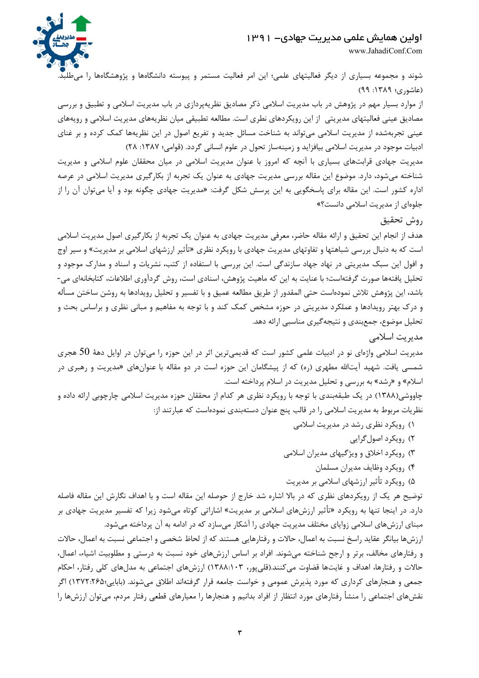

www.JahadiConf.Com

شوند و مجموعه بسیاری از دیگر فعالیتهای علمی؛ این امر فعالیت مستمر و پیوسته دانشگاهها و پژوهشگاهها را میطلبد. (عاشوري؛ ١٣٨٩: ٩٩)

از موارد بسیار مهم در پژوهش در باب مدیریت اسلامی ذکر مصادیق نظریهپردازی در باب مدیریت اسلامی و تطبیق و بررسی مصادیق عینی فعالیتهای مدیریتی ًاز این رویکردهای نطری است. مطالعه تطبیقی میان نظریههای مدیریت اسلامی و رویههای عینی تجربهشده از مدیریت اسلامی میتواند به شناخت مسائل جدید و تفریع اصول در این نظریهها کمک کرده و بر غنای ادبیات موجود در مدیریت اسلامی بیافزاید و زمینهساز تحول در علوم انسانی گردد. (قوامی؛ ۱۳۸۷: ۲۸)

مدیریت جهادی قرابتهای بسیاری با آنچه که امروز با عنوان مدیریت اسلامی در میان محققان علوم اسلامی و مدیریت شناخته میشود، دارد. موضوع این مقاله بررسی مدیریت جهادی به عنوان یک تجربه از بکارگیری مدیریت اسلامی در عرصه اداره کشور است. این مقاله برای پاسخگویی به این پرسش شکل گرفت: «مدیریت جهادی چگونه بود و آیا میتوان آن را از جلوهای از مدیریت اسلامی دانست؟»

## روش تحقيق

هدف از انجام این تحقیق و ارائه مقاله حاضر، معرفی مدیریت جهادی به عنوان یک تجربه از بکارگیری اصول مدیریت اسلامی است که به دنبال بررسی شباهتها و تفاوتهای مدیریت جهادی با رویکرد نظری «تأثیر ارزشهای اسلامی بر مدیریت» و سیر اوج و افول این سبک مدیریتی در نهاد جهاد سازندگی است. این بررسی با استفاده از کتب، نشریات و اسناد و مدارک موجود و تحلیل یافتهها صورت گرفتهاست؛ با عنایت به این که ماهیت پژوهش، اسنادی است، روش گردآوری اطلاعات، کتابخانهای می-باشد، این پژوهش تلاش نمودهاست حتی المقدور از طریق مطالعه عمیق و با تفسیر و تحلیل رویدادها به روشن ساختن مسأله و درک بهتر رویدادها و عملکرد مدیریتی در حوزه مشخص کمک کند و با توجه به مفاهیم و مبانی نظری و براساس بحث و تحلیل موضوع، جمعبندی و نتیجهگیری مناسبی ارائه دهد.

مدیریت اسلامی

مدیریت اسلامی واژهای نو در ادبیات علمی کشور است که قدیمیترین اثر در این حوزه را میتوان در اوایل دههٔ 50 هجری شمسی یافت. شهید آیتالله مطهری (ره) که از پیشگامان این حوزه است در دو مقاله با عنوانهای «مدیریت و رهبری در اسلام» و «رشد» به بررسی و تحلیل مدیریت در اسلام پرداخته است.

چاووشی(۱۳۸۸) در یک طبقهبندی با توجه با رویکرد نظری هر کدام از محققان حوزه مدیریت اسلامی چارچوبی ارائه داده و نظریات مربوط به مدیریت اسلامی را در قالب پنج عنوان دستهبندی نمودهاست که عبارتند از:

- ۱) رویکرد نظری رشد در مدیریت اسلامی
	- ٢) رویکرد اصول گرایی
- ۳) رویکرد اخلاق و ویژگیهای مدیران اسلامی
	- ۴) رويكرد وظايف مديران مسلمان
- ۵) رویکرد تأثیر ارزشهای اسلامی بر مدیریت

توضیح هر یک از رویکردهای نظری که در بالا اشاره شد خارج از حوصله این مقاله است و با اهداف نگارش این مقاله فاصله دارد. در اینجا تنها به رویکرد «تأثیر ارزشهای اسلامی بر مدیریت» اشاراتی کوتاه میشود زیرا که تفسیر مدیریت جهادی بر مبنای ارزشهای اسلامی زوایای مختلف مدیریت جهادی را آشکار میسازد که در ادامه به آن پرداخته میشود.

ارزشها بیانگر عقاید راسخ نسبت به اعمال، حالات و رفتارهایی هستند که از لحاظ شخصی و اجتماعی نسبت به اعمال، حالات و رفتارهای مخالف، برتر و ارجح شناخته می شوند. افراد بر اساس ارزشهای خود نسبت به درستی و مطلوبیت اشیاء، اعمال، حالات و رفتارها، اهداف و غايتها قضاوت مي كنند.(قلي يور، ١٣٨٨:١٠٣) ارزشهاي اجتماعي به مدلهاي كلي رفتار، احكام جمعی و هنجارهای کرداری که مورد پذیرش عمومی و خواست جامعه قرار گرفتهاند اطلاق میشوند. (بابایی:۱۳۷۲:۲۶۵) اگر نقشهای اجتماعی را منشأ رفتارهای مورد انتظار از افراد بدانیم و هنجارها را معیارهای قطعی رفتار مردم، می توان ارزشها را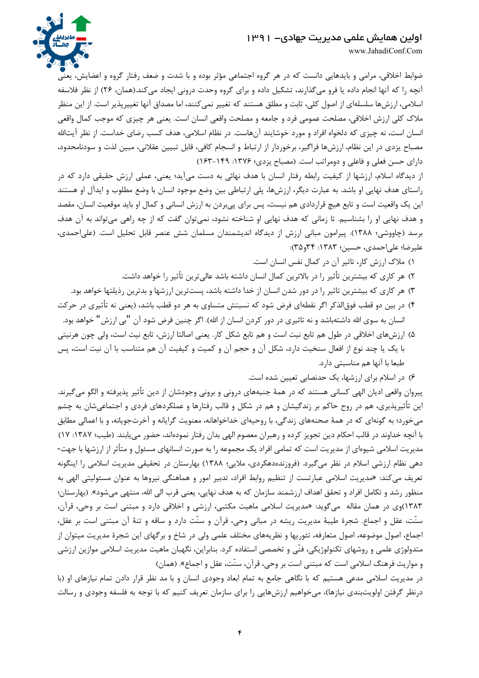

www.JahadiConf.Com

ضوابط اخلاقی، مرامی و بایدهایی دانست که در هر گروه اجتماعی مؤثر بوده و با شدت و ضعف رفتار گروه و اعضایش، یعنی آنچه را که آنها انجام داده یا فرو میگذارند، تشکیل داده و برای گروه وحدت درونی ایجاد میکند.(همان، ۲۶) از نظر فلاسفه اسلامی، ارزشها سلسلهای از اصول کلی، ثابت و مطلق هستند که تغییر نمی کنند، اما مصداق آنها تغییرپذیر است. از این منظر ملاک کلی ارزش اخلاقی، مصلحت عمومی فرد و جامعه و مصلحت واقعی انسان است. یعنی هر چیزی که موجب کمال واقعی انسان است، نه چیزی که دلخواه افراد و مورد خوشایند آنهاست. در نظام اسلامی، هدف کسب رضای خداست. از نظر آیتالله مصباح یزدی در این نظام، ارزشها فراگیر، برخوردار از ارتباط و انسجام کافی، قابل تبیین عقلانی، مبین لذت و سودنامحدود، دارای حسن فعلی و فاعلی و دومراتب است. (مصباح یزدی؛ ۱۳۷۶: ۱۶۹–۱۶۳)

از دیدگاه اسلام، ارزشها از کیفیت رابطه رفتار انسان با هدف نهائی به دست میآید؛ یعنی، عملی ارزش حقیقی دارد که در راستای هدف نهایی او باشد. به عبارت دیگر، ارزشها، پلی ارتباطی بین وضع موجود انسان با وضع مطلوب و ایدآل او هستند این یک واقعیت است و تابع هیچ قراردادی هم نیست، پس برای پی بردن به ارزش انسانی و کمال او باید موقعیت انسان، مقصد و هدف نهایی او را بشناسیم. تا زمانی که هدف نهایی او شناخته نشود، نمی توان گفت که از چه راهی می تواند به آن هدف برسد (چاووشی؛ ۱۳۸۸). پیرامون مبانی ارزش از دیدگاه اندیشمندان مسلمان شش عنصر قابل تحلیل است. (علی احمدی، عليرضا؛ على احمدى، حسين؛ ١٣٨٣: ٣٤و٣٥):

١) ملاک ارزش کار، تاثیر آن در کمال نفس انسان است.

- ۲) هر کاری که بیشترین تأثیر را در بالاترین کمال انسان داشته باشد عالیترین تأثیر را خواهد داشت.
- ۳) هر کاری که بیشترین تاثیر را در دور شدن انسان از خدا داشته باشد، پستترین ارزشها و بدترین رذیلتها خواهد بود.
- ۴) در بین دو قطب فوق|لذکر اگر نقطه|ی فرض شود که نسبتش متساوی به هر دو قطب باشد، (یعنی نه تأثیری در حرکت انسان به سوی الله داشتهباشد و نه تاثیری در دور کردن انسان از الله). اگر چنین فرض شود آن "بی ارزش" خواهد بود.
- ۵) ارزشهای اخلاقی در طول هم تابع نیت است و هم تابع شکل کار. یعنی اصالتا ارزش، تابع نیت است، ولی چون هرنیتی با یک یا چند نوع از افعال سنخیت دارد، شکل آن و حجم آن و کمیت و کیفیت آن هم متناسب با آن نیت است، پس طبعا با آنها هم مناسبتی دارد.

۶) در اسلام برای ارزشها، یک حدنصابی تعیین شده است.

پیروان واقعی ادیان الهی کسانی هستند که در همهٔ جنبههای درونی و برونی وجودشان از دین تأثیر پذیرفته و الگو میگیرند. این تأثیرپذیری، هم در روح حاکم بر زندگیشان و هم در شکل و قالب رفتارها و عملکردهای فردی و اجتماعیشان به چشم می خورد؛ به گونهای که در همهٔ صحنههای زندگی، با روحیهای خداخواهانه، معنویت گرایانه و آخرتجویانه، و با اعمالی مطابق با آنچه خداوند در قالب احکام دین تجویز کرده و رهبران معصوم الهی بدان رفتار نمودهاند، حضور میپابند. (طیب؛ ۱۳۸۷: ۱۷) مدیریت اسلامی شیوهای از مدیریت است که تمامی افراد یک مجموعه را به صورت انسانهای مسئول و متأثر از ارزشها با جهت-دهی نظام ارزشی اسلام در نظر میگیرد. (فروزندهدهکردی، ملایی؛ ۱۳۸۸) بهارستان در تحقیقی مدیریت اسلامی را اینگونه تعریف می کند: «مدیریت اسلامی عبارتست از تنظیم روابط افراد، تدبیر امور و هماهنگی نیروها به عنوان مسئولیتی الهی به منظور رشد و تكامل افراد و تحقق اهداف ارزشمند سازمان كه به هدف نهايي، يعني قرب الي الله، منتهي مي شود». (بهارستان؛ ١٣٨٣)وي در همان مقاله مي گويد: «مديريت اسلامي ماهيت مكتبي، ارزشي و اخلاقي دارد و مبتني است بر وحي، قرآن، سنّت، عقل و اجماع. شجرهٔ طیبهٔ مدیریت ریشه در مبانی وحی، قرآن و سنّت دارد و ساقه و تنهٔ آن مبتنی است بر عقل، اجماع، اصول موضوعه، اصول متعارفه، تئوريها و نظريههاي مختلف علمي ولي در شاخ و برگهاي اين شجرهٔ مديريت ميتوان از متدولوژی علمی و روشهای تکنولوژیکی، فنّی و تخصصی استفاده کرد. بنابراین، نگهبان ماهیت مدیریت اسلامی موازین ارزشی و مواريث فرهنگ اسلامي است كه مبتني است بر وحي، قرآن، سنّت، عقل و اجماع». (همان)

در مدیریت اسلامی مدعی هستیم که با نگاهی جامع به تمام ابعاد وجودی انسان و با مد نظر قرار دادن تمام نیازهای او (با درنظر گرفتن اولویتبندی نیازها)، میخواهیم ارزشهایی را برای سازمان تعریف کنیم که با توجه به فلسفه وجودی و رسالت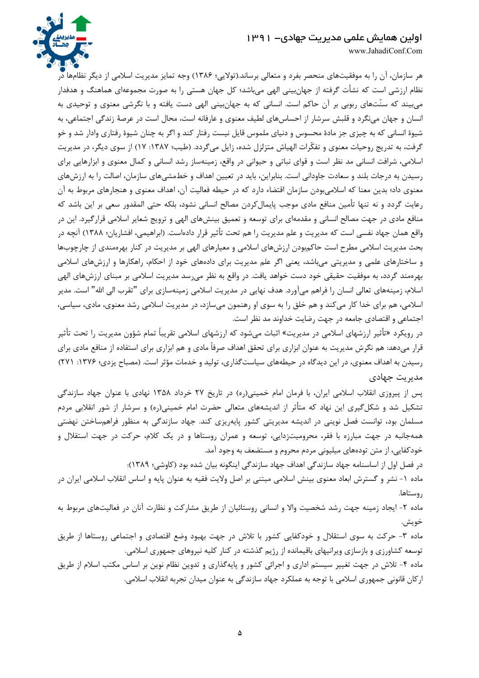

www.JahadiConf.Com

هر سازمان، آن را به موفقیتهای منحصر بفرد و متعالی برساند.(تولایی؛ ۱۳۸۶) وجه تمایز مدیریت اسلامی از دیگر نظامها در نظام ارزشی است که نشأت گرفته از جهان بینی الهی می باشد؛ کل جهان هستی را به صورت مجموعهای هماهنگ و هدفدار می بیند که سنّتهای ربوبی بر آن حاکم است. انسانی که به جهان بینی الهی دست یافته و با نگرشی معنوی و توحیدی به انسان و جهان مینگرد و قلبش سرشار از احساسهای لطیف معنوی و عارفانه است، محال است در عرصهٔ زندگی اجتماعی، به شیوهٔ انسانی که به چیزی جز مادهٔ محسوس و دنیای ملموس قایل نیست رفتار کند و اگر به چنان شیوهٔ رفتاری وادار شد و خو گرفت، به تدریج روحیات معنوی و تفکّرات الهیاش متزلزل شده، زایل میگردد. (طیب؛ ۱۳۸۷: ۱۷) از سوی دیگر، در مدیریت اسلامی، شرافت انسانی مد نظر است و قوای نباتی و حیوانی در واقع، زمینهساز رشد انسانی و کمال معنوی و ابزارهایی برای رسیدن به درجات بلند و سعادت جاودانی است. بنابراین، باید در تعیین اهداف و خطمشیهای سازمان، اصالت را به ارزشهای معنوی داد؛ بدین معنا که اسلامی بودن سازمان اقتضاء دارد که در حیطه فعالیت آن، اهداف معنوی و هنجارهای مربوط به آن رعایت گردد و نه تنها تأمین منافع مادی موجب پایمال کردن مصالح انسانی نشود، بلکه حتی المقدور سعی بر این باشد که منافع مادی در جهت مصالح انسانی و مقدمهای برای توسعه و تعمیق بینشهای الهی و ترویج شعایر اسلامی قرارگیرد. این در واقع همان جهاد نفسی است که مدیریت و علم مدیریت را هم تحت تأثیر قرار دادهاست. (ابراهیمی، افشاریان؛ ۱۳۸۸) آنچه در بحث مدیریت اسلامی مطرح است حاکمبودن ارزشهای اسلامی و معیارهای الهی بر مدیریت در کنار بهرهمندی از چارچوبها و ساختارهای علمی و مدیریتی می باشد، یعنی اگر علم مدیریت برای دادههای خود از احکام، راهکارها و ارزشهای اسلامی بهرهمند گردد، به موفقیت حقیقی خود دست خواهد یافت. در واقع به نظر میرسد مدیریت اسلامی بر مبنای ارزشهای الهی اسلام، زمینههای تعالی انسان را فراهم میآورد. هدف نهایی در مدیریت اسلامی زمینهسازی برای "تقرب الی الله" است. مدیر اسلامی، هم برای خدا کار میکند و هم خلق را به سوی او رهنمون میسازد، در مدیریت اسلامی رشد معنوی، مادی، سیاسی، اجتماعی و اقتصادی جامعه در جهت رضایت خداوند مد نظر است.

در رویکرد «تأثیر ارزشهای اسلامی در مدیریت» اثبات میشود که ارزشهای اسلامی تقریباً تمام شؤون مدیریت را تحت تأثیر قرار میدهد: هم نگرش مدیریت به عنوان ابزاری برای تحقق اهداف صرفاً مادی و هم ابزاری برای استفاده از منافع مادی برای رسیدن به اهداف معنوی، در این دیدگاه در حیطههای سیاست گذاری، تولید و خدمات مؤثر است. (مصباح یزدی؛ ۱۳۷۶: ۲۷۱) مدیریت جهادی

پس از پیروزی انقلاب اسلامی ایران، با فرمان امام خمینی(ره) در تاریخ ۲۷ خرداد ۱۳۵۸ نهادی با عنوان جهاد سازندگی تشکیل شد و شکلگیری این نهاد که متأثر از اندیشههای متعالی حضرت امام خمینی(ره) و سرشار از شور انقلابی مردم مسلمان بود، توانست فصل نوینی در اندیشه مدیریتی کشور پایهریزی کند. جهاد سازندگی به منظور فراهمساختن نهضتی همهجانبه در جهت مبارزه با فقر، محرومیتزدایی، توسعه و عمران روستاها و در یک کلام، حرکت در جهت استقلال و خودکفایی، از متن تودههای میلیونی مردم محروم و مستضعف به وجود آمد.

در فصل اول از اساسنامه جهاد سازندگی اهداف جهاد سازندگی اینگونه بیان شده بود (کاوشی؛ ۱۳۸۹):

ماده ۱- نشر و گسترش ابعاد معنوی بینش اسلامی مبتنی بر اصل ولایت فقیه به عنوان پایه و اساس انقلاب اسلامی ایران در روستاها.

ماده ۲- ایجاد زمینه جهت رشد شخصیت والا و انسانی روستائیان از طریق مشارکت و نظارت آنان در فعالیتهای مربوط به خويش.

ماده ۳- حرکت به سوی استقلال و خودکفایی کشور با تلاش در جهت بهبود وضع اقتصادی و اجتماعی روستاها از طریق توسعه کشاورزی و بازسازی ویرانیهای باقیمانده از رژیم گذشته در کنار کلیه نیروهای جمهوری اسلامی.

ماده ۴- تلاش در جهت تغییر سیستم اداری و اجرائی کشور و پایهگذاری و تدوین نظام نوین بر اساس مکتب اسلام از طریق اركان قانوني جمهوري اسلامي با توجه به عملكرد جهاد سازندگي به عنوان ميدان تجربه انقلاب اسلامي.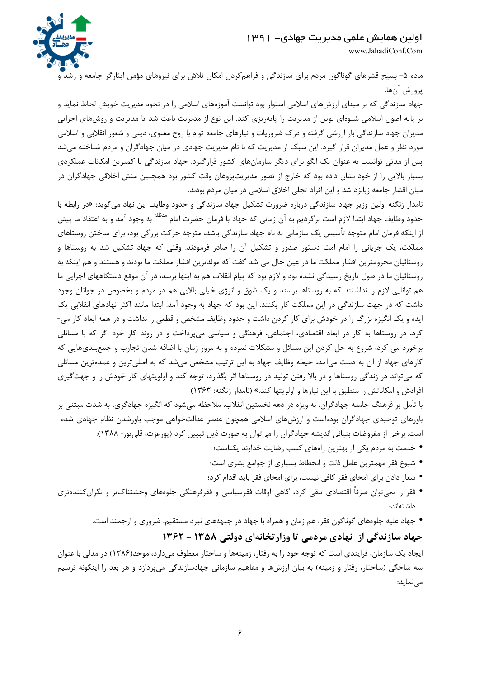www.JahadiConf.Com

ماده ۵- بسیج قشرهای گوناگون مردم برای سازندگی و فراهمکردن امکان تلاش برای نیروهای مؤمن ایثارگر جامعه و رشد و پرورش آنها.

جهاد سازندگی که بر مبنای ارزشهای اسلامی استوار بود توانست آموزههای اسلامی را در نحوه مدیریت خویش لحاظ نماید و بر پایه اصول اسلامی شیوهای نوین از مدیریت را پایهریزی کند. این نوع از مدیریت باعث شد تا مدیریت و روشهای اجرایی مدیران جهاد سازندگی بار ارزشی گرفته و درک ضروریات و نیازهای جامعه توام با روح معنوی، دینی و شعور انقلابی و اسلامی مورد نظر و عمل مدیران قرار گیرد. این سبک از مدیریت که با نام مدیریت جهادی در میان جهادگران و مردم شناخته میشد پس از مدتی توانست به عنوان یک الگو برای دیگر سازمانهای کشور قرارگیرد. جهاد سازندگی با کمترین امکانات عملکردی بسیار بالایی را از خود نشان داده بود که خارج از تصور مدیریتپژوهان وقت کشور بود همچنین منش اخلاقی جهادگران در میان اقشار جامعه زبانزد شد و این افراد تجلی اخلاق اسلامی در میان مردم بودند.

نامدار زنگنه اولین وزیر جهاد سازندگی درباره ضرورت تشکیل جهاد سازندگی و حدود وظایف این نهاد میگوید: «در رابطه با حدود وظایف جهاد ابتدا لازم است برگردیم به آن زمانی که جهاد با فرمان حضرت امام <sup>مدظله</sup> به وجود آمد و به اعتقاد ما پیش از اینکه فرمان امام متوجه تأسیس یک سازمانی به نام جهاد سازندگی باشد، متوجه حرکت بزرگی بود، برای ساختن روستاهای مملکت، یک جریانی را امام امت دستور صدور و تشکیل آن را صادر فرمودند. وقتی که جهاد تشکیل شد به روستاها و روستائیان محرومترین اقشار مملکت ما در عین حال می شد گفت که مولدترین اقشار مملکت ما بودند و هستند و هم اینکه به روستائیان ما در طول تاریخ رسیدگی نشده بود و لازم بود که پیام انقلاب هم به اینها برسد، در آن موقع دستگاههای اجرایی ما هم توانایی لازم را نداشتند که به روستاها برسند و یک شوق و انرژی خیلی بالایی هم در مردم و بخصوص در جوانان وجود داشت که در جهت سازندگی در این مملکت کار بکنند. این بود که جهاد به وجود آمد. ابتدا مانند اکثر نهادهای انقلابی یک ایده و یک انگیزه بزرگ را در خودش برای کار کردن داشت و حدود وظایف مشخص و قطعی را نداشت و در همه ابعاد کار می-کرد، در روستاها به کار در ابعاد اقتصادی، اجتماعی، فرهنگی و سیاسی میپرداخت و در روند کار خود اگر که با مسائلی برخورد می کرد، شروع به حل کردن این مسائل و مشکلات نموده و به مرور زمان با اضافه شدن تجارب و جمعبندیهایی که کارهای جهاد از آن به دست میآمد، حیطه وظایف جهاد به این ترتیب مشخص میشد که به اصلیترین و عمدهترین مسائلی که می تواند در زندگی روستاها و در بالا رفتن تولید در روستاها اثر بگذارد، توجه کند و اولویتهای کار خودش را و جهت گیری افرادش و امکاناتش را منطبق با این نیازها و اولویتها کند.» (نامدار زنگنه؛ ۱۳۶۳)

با تأمل بر فرهنگ جامعه جهادگران، به ویژه در دهه نخستین انقلاب، ملاحظه میشود که انگیزه جهادگری، به شدت مبتنی بر باورهای توحیدی جهادگران بودهاست و ارزشهای اسلامی همچون عنصر عدالتخواهی موجب باورشدن نظام جهادی شده-است. برخی از مفروضات بنیانی اندیشه جهادگران را میتوان به صورت ذیل تبیین کرد (پورعزت، قلیپور؛ ۱۳۸۸):

- خدمت به مردم یکی از بهترین راههای کسب رضایت خداوند یکتاست؛
- شیوع فقر مهمترین عامل ذلت و انحطاط بسیاری از جوامع بشری است؛
- شعار دادن براي امحاي فقر كافي نيست، براي امحاي فقر بايد اقدام كرد؛
- فقر را نمیتوان صرفاً اقتصادی تلقی کرد، گاهی اوقات فقرسیاسی و فقرفرهنگی جلوههای وحشتناکتر و نگرانکنندهتری داشتهاند؛
	- جهاد علیه جلوههای گوناگون فقر، هم زمان و همراه با جهاد در جبهههای نبرد مستقیم، ضروری و ارجمند است.

# جهاد سازندگی از نهادی مردمی تا وزار تخانهای دولتی ۱۳۵۸ - ۱۳۶۲

ایجاد یک سازمان، فرایندی است که توجه خود را به رفتار، زمینهها و ساختار معطوف میدارد، موحد(۱۳۸۶) در مدلی با عنوان سه شاخگی (ساختار، رفتار و زمینه) به بیان ارزشها و مفاهیم سازمانی جهادسازندگی میپردازد و هر بعد را اینگونه ترسیم مے نماید: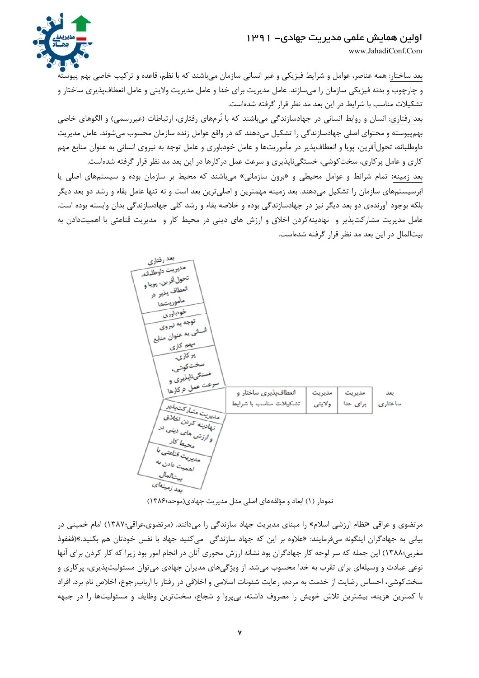

www.JahadiConf.Com

بعد ساختار: همه عناصر، عوامل و شرايط فيزيكي و غير انساني سازمان ميباشند كه با نظم، قاعده و تركيب خاصي بهم پيوسته و چارچوب و بدنه فیزیکی سازمان را میسازند. عامل مدیریت برای خدا و عامل مدیریت ولایتی و عامل انعطافپذیری ساختار و تشکیلات مناسب با شرایط در این بعد مد نظر قرار گرفته شدهاست.

بعد رفتاری: انسان و روابط انسانی در جهادسازندگی می باشند که با نُرمهای رفتاری، ارتباطات (غیررسمی) و الگوهای خاصی بهم پیوسته و محتوای اصلی جهادسازندگی را تشکیل میدهند که در واقع عوامل زنده سازمان محسوب می شوند. عامل مدیریت داوطلبانه، تحولآفرین، پویا و انعطاف پذیر در مأموریتها و عامل خودباوری و عامل توجه به نیروی انسانی به عنوان منابع مهم کاری و عامل پر کاری، سخت کوشی، خستگیiلپذیری و سرعت عمل در کارها در این بعد مد نظر قرار گرفته شدهاست.

بعد زمینه: تمام شرائط و عوامل محیطی و «برون سازمانی» می باشند که محیط بر سازمان بوده و سیستمهای اصلی یا ابَرسیستمهای سازمان را تشکیل می۵هند. بعد زمینه مهمترین و اصلیترین بعد است و نه تنها عامل بقاء و رشد دو بعد دیگر بلکه بوجود آورندهی دو بعد دیگر نیز در جهادسازندگی بوده و خلاصه بقاء و رشد کلی جهادسازندگی بدان وابسته بوده است. عامل مدیریت مشارکتپذیر و نهادینهکردن اخلاق و ارزش های دینی در محیط کار و مدیریت قناعتی با اهمیتدادن به بیتالمال در این بعد مد نظر قرار گرفته شدهاست.



نمودار (۱) ابعاد و مؤلفههای اصلی مدل مدیریت جهادی(موحد؛۱۳۸۶)

مرتضوی و عراقی «نظام ارزشی اسلام» را مبنای مدیریت جهاد سازندگی را میدانند. (مرتضوی،عراقی:۱۳۸۷) امام خمینی در بیانی به جهادگران اینگونه میفرمایند: «علاوه بر این که جهاد سازندگی میکنید جهاد با نفس خودتان هم بکنید.»(فغفوذ مغربی؛۱۳۸۸) این جمله که سر لوحه کار جهادگران بود نشانه ارزش محوری آنان در انجام امور بود زیرا که کار کردن برای آنها نوعی عبادت و وسیلهای برای تقرب به خدا محسوب میشد. از ویژگیهای مدیران جهادی میتوان مسئولیتپذیری، پرکاری و سخت کوشی، احساس رضایت از خدمت به مردم، رعایت شئونات اسلامی و اخلاقی در رفتار با ارباب, جوع، اخلاص نام برد. افراد با کمترین هزینه، بیشترین تلاش خویش را مصروف داشته، بی پروا و شجاع، سختترین وظایف و مسئولیتها را در جبهه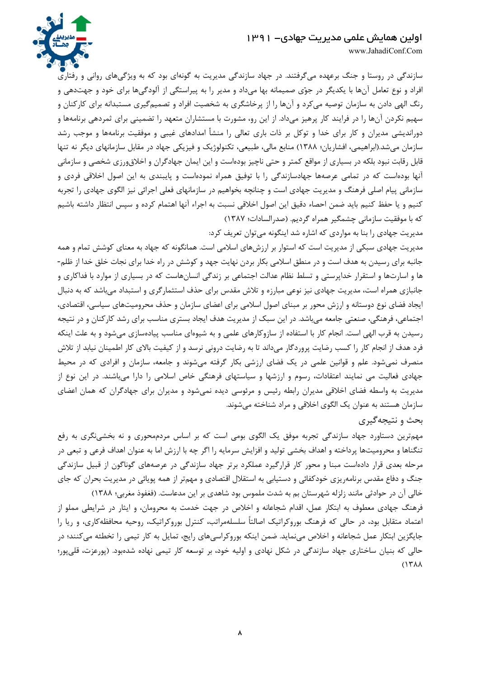

www.JahadiConf.Com

سازندگی در روستا و جنگ برعهده میگرفتند. در جهاد سازندگی مدیریت به گونهای بود که به ویژگیهای روانی و رفتاری افراد و نوع تعامل آنها با یکدیگر در جوّی صمیمانه بها میداد و مدیر را به پیراستگی از آلودگیها برای خود و جهتدهی و رنگ الهی دادن به سازمان توصیه می کرد و آنها را از پرخاشگری به شخصیت افراد و تصمیمگیری مستبدانه برای کارکنان و سهیم نکردن آنها را در فرایند کار پرهیز میداد. از این رو، مشورت با مستشاران متعهد را تضمینی برای ثمردهی برنامهها و دوراندیشی مدیران و کار برای خدا و توکل بر ذات باری تعالی را منشأ امدادهای غیبی و موفقیت برنامهها و موجب رشد سازمان میشد.(ابراهیمی، افشاریان؛ ۱۳۸۸) منابع مالی، طبیعی، تکنولوژیک و فیزیکی جهاد در مقابل سازمانهای دیگر نه تنها قابل رقابت نبود بلکه در بسیاری از مواقع کمتر و حتی ناچیز بودهاست و این ایمان جهادگران و اخلاق ورزی شخصی و سازمانی آنها بودهاست که در تمامی عرصهها جهادسازندگی را با توفیق همراه نمودهاست و پایبندی به این اصول اخلاقی فردی و سازمانی پیام اصلی فرهنگ و مدیریت جهادی است و چنانچه بخواهیم در سازمانهای فعلی اجرائی نیز الگوی جهادی را تجربه كنيم و يا حفظ كنيم بايد ضمن احصاء دقيق اين اصول اخلاقي نسبت به اجراء آنها اهتمام كرده و سپس انتظار داشته باشيم كه با موفقيت سازماني چشمگير همراه گرديم. (صدرالسادات؛ ١٣٨٧)

مدیریت جهادی را بنا به مواردی که اشاره شد اینگونه می توان تعریف کرد:

مدیریت جهادی سبکی از مدیریت است که استوار بر ارزشهای اسلامی است. همانگونه که جهاد به معنای کوشش تمام و همه جانبه برای رسیدن به هدف است و در منطق اسلامی بکار بردن نهایت جهد و کوشش در راه خدا برای نجات خلق خدا از ظلم-ها و اسارتها و استقرار خداپرستی و تسلط نظام عدالت اجتماعی بر زندگی انسانهاست که در بسیاری از موارد با فداکاری و جانبازی همراه است، مدیریت جهادی نیز نوعی مبارزه و تلاش مقدس برای حذف استثمارگری و استبداد میباشد که به دنبال ایجاد فضای نوع دوستانه و ارزش محور بر مبنای اصول اسلامی برای اعضای سازمان و حذف محرومیتهای سیاسی، اقتصادی، اجتماعی، فرهنگی، صنعتی جامعه میباشد. در این سبک از مدیریت هدف ایجاد بستری مناسب برای رشد کارکنان و در نتیجه رسیدن به قرب الهی است. انجام کار با استفاده از سازوکارهای علمی و به شیوهای مناسب پیادهسازی میشود و به علت اینکه فرد هدف از انجام کار را کسب رضایت پروردگار میداند تا به رضایت درونی نرسد و از کیفیت بالای کار اطمینان نیابد از تلاش منصرف نمیشود. علم و قوانین علمی در یک فضای ارزشی بکار گرفته میشوند و جامعه، سازمان و افرادی که در محیط جهادی فعالیت می نمایند اعتقادات، رسوم و ارزشها و سیاستهای فرهنگی خاص اسلامی را دارا میباشند. در این نوع از مدیریت به واسطه فضای اخلاقی مدیران رابطه رئیس و مرئوسی دیده نمیشود و مدیران برای جهادگران که همان اعضای سازمان هستند به عنوان یک الگوی اخلاقی و مراد شناخته میشوند.

## بحث و نتيجه گيري

مهمترین دستاورد جهاد سازندگی تجربه موفق یک الگوی بومی است که بر اساس مردممحوری و نه بخشینگری به رفع تنگناها و محرومیتها پرداخته و اهداف بخشی تولید و افزایش سرمایه را اگر چه با ارزش اما به عنوان اهداف فرعی و تبعی در مرحله بعدی قرار دادهاست مبنا و محور کار قرارگیرد عملکرد برتر جهاد سازندگی در عرصههای گوناگون از قبیل سازندگی جنگ و دفاع مقدس برنامهریزی خودکفائی و دستیابی به استقلال اقتصادی و مهمتر از همه پویائی در مدیریت بحران که جای خالی آن در حوادثی مانند زلزله شهرستان بم به شدت ملموس بود شاهدی بر این مدعاست. (فغفوذ مغربی؛ ۱۳۸۸)

فرهنگ جهادی معطوف به ابتکار عمل، اقدام شجاعانه و اخلاص در جهت خدمت به محرومان، و ایثار در شرایطی مملو از اعتماد متقابل بود، در حالی که فرهنگ بوروکراتیک اصالتاً سلسلهمراتب، کنترل بوروکراتیک، روحیه محافظهکاری، و ریا را جایگزین ابتکار عمل شجاعانه و اخلاص مینماید. ضمن اینکه بوروکراسیهای رایج، تمایل به کار تیمی را تخطئه میکنند؛ در حالي كه بنيان ساختاري جهاد سازندگي در شكل نهادي و اوليه خود، بر توسعه كار تيمي نهاده شدهبود. (پورعزت، قليپور؛  $(15A)$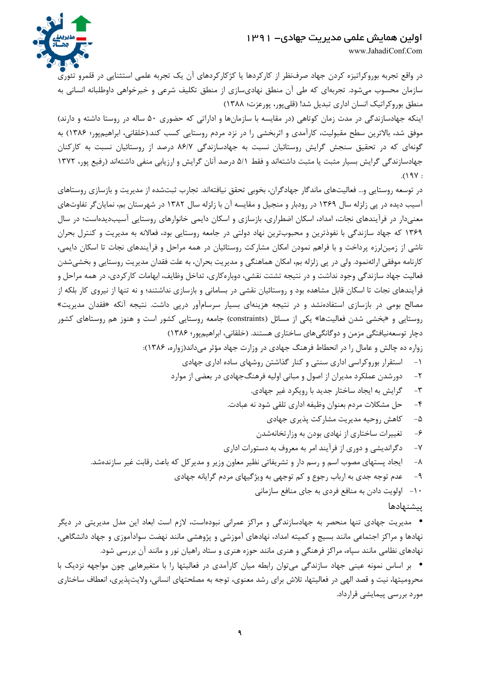www.JahadiConf.Com



در واقع تجربه بوروکراتیزه کردن جهاد صرفنظر از کارکردها یا کژکارکردهای آن یک تجربه علمی استثنایی در قلمرو تئوری سازمان محسوب میشود. تجربهای که طی آن منطق نهادیسازی از منطق تکلیف شرعی و خیرخواهی داوطلبانه انسانی به منطق بوروكراتيك انسان اداري تبديل شدا (قلي پور، پورعزت؛ ١٣٨٨)

اینکه جهادسازندگی در مدت زمان کوتاهی (در مقایسه با سازمانها و اداراتی که حضوری ۵۰ ساله در روستا داشته و دارند) موفق شد، بالاترین سطح مقبولیت، کارآمدی و اثربخشی را در نزد مردم روستایی کسب کند.(خلقانی، ابراهیمپور؛ ۱۳۸۶) به گونهای که در تحقیق سنجش گرایش روستائیان نسبت به جهادسازندگی ۸۶/۷ درصد از روستائیان نسبت به کارکنان جهادسازندگی گرایش بسیار مثبت یا مثبت داشتهاند و فقط ۵/۱ درصد آنان گرایش و ارزیابی منفی داشتهاند (رفیع پور، ۱۳۷۲  $.()$  9 $V:$ 

در توسعه روستایی و… فعالیتهای ماندگار جهادگران، بخوبی تحقق نیافتهاند. تجارب ثبتشده از مدیریت و بازسازی روستاهای آسیب دیده در پی زلزله سال ۱۳۶۹ در رودبار و منجیل و مقایسه آن با زلزله سال ۱۳۸۲ در شهرستان بم، نمایانگر تفاوتهای معنیدار در فرآیندهای نجات، امداد، اسکان اضطراری، بازسازی و اسکان دایمی خانوارهای روستایی آسیبدیدهاست؛ در سال ۱۳۶۹ که جهاد سازندگی با نفوذترین و محبوبترین نهاد دولتی در جامعه روستایی بود، فعالانه به مدیریت و کنترل بحران ناشی از زمینلرزه پرداخت و با فراهم نمودن امکان مشارکت روستائیان در همه مراحل و فرآیندهای نجات تا اسکان دایمی، کارنامه موفقی ارائهنمود. ولی در پی زلزله بم، امکان هماهنگی و مدیریت بحران، به علت فقدان مدیریت روستایی و بخشی شدن فعالیت جهاد سازندگی وجود نداشت و در نتیجه تشتت نقشی، دوبارهکاری، تداخل وظایف، ابهامات کارکردی، در همه مراحل و فرآیندهای نجات تا اسکان قابل مشاهده بود و روستائیان نقشی در بسامانی و بازسازی نداشتند؛ و نه تنها از نیروی کار بلکه از مصالح بومی در بازسازی استفادهنشد و در نتیجه هزینهای بسیار سرسامآور درپی داشت. نتیجه آنکه «فقدان مدیریت» روستایی و «بخشی شدن فعالیتها» یکی از مسائل (constraints) جامعه روستایی کشور است و هنوز هم روستاهای کشور دچار توسعهنیافتگی مزمن و دوگانگیهای ساختاری هستند. (خلقانی، ابراهیمپور؛ ۱۳۸۶)

زواره ده چالش و عامال را در انحطاط فرهنگ جهادی در وزارت جهاد مؤثر می داند(زواره، ۱۳۸۶):

- دورشدن عملکرد مدیران از اصول و مبانی اولیه فرهنگ جهادی در بعضی از موارد  $-\tau$ 
	- گرايش به ايجاد ساختار جديد با رويكرد غير جهادي.  $-\tau$
	- حل مشكلات مردم بعنوان وظيفه اداري تلقى شود نه عبادت.  $-\epsilon$ 
		- كاهش روحيه مديريت مشاركت يذيرى جهادى  $-\Delta$
		- $-\xi$ تغییرات ساختاری از نهادی بودن به وزارتخانهشدن
	- دگراندیشی و دوری از فرآیند امر به معروف به دستورات اداری  $-\mathsf{V}$
- ایجاد پستهای مصوب اسم و رسم دار و تشریفاتی نظیر معاون وزیر و مدیر کل که باعث رقابت غیر سازندهشد.  $-\lambda$ 
	- عدم توجه جدی به ارباب رجوع و کم توجهی به ویژگیهای مردم گرایانه جهادی  $-\mathsf{q}$ 
		- ۱۰– اولویت دادن به منافع فردی به جای منافع سازمانی

### ييشنهادها

• مدیریت جهادی تنها منحصر به جهادسازندگی و مراکز عمرانی نبودهاست، لازم است ابعاد این مدل مدیریتی در دیگر نهادها و مراکز اجتماعی مانند بسیج و کمیته امداد، نهادهای آموزشی و پژوهشی مانند نهضت سوادآموزی و جهاد دانشگاهی، نهادهای نظامی مانند سپاه، مراکز فرهنگی و هنری مانند حوزه هنری و ستاد راهیان نور و مانند آن بررسی شود.

• بر اساس نمونه عینی جهاد سازندگی می توان رابطه میان کارآمدی در فعالیتها را با متغیرهایی چون مواجهه نزدیک با محرومیتها، نیت و قصد الهی در فعالیتها، تلاش برای رشد معنوی، توجه به مصلحتهای انسانی، ولایتپذیری، انعطاف ساختاری مورد بررسی پیمایشی قرارداد.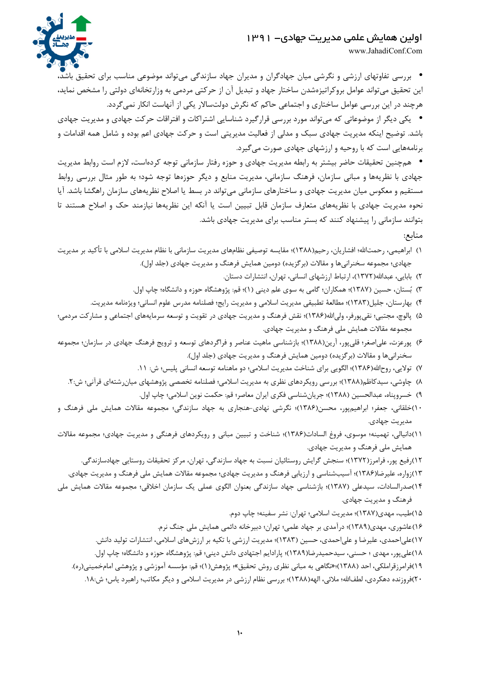

www.JahadiConf.Com

• بررسی تفاوتهای ارزشی و نگرشی میان جهادگران و مدیران جهاد سازندگی میتواند موضوعی مناسب برای تحقیق باشد، این تحقیق میتواند عوامل بروکراتیزهشدن ساختار جهاد و تبدیل آن از حرکتی مردمی به وزارتخانهای دولتی را مشخص نماید، هرچند در این بررسی عوامل ساختاری و اجتماعی حاکم که نگرش دولتسالار یکی از آنهاست انکار نمی گردد.

• یکی دیگر از موضوعاتی که می تواند مورد بررسی قرارگیرد شناسایی اشتراکات و افتراقات حرکت جهادی و مدیریت جهادی باشد. توضیح اینکه مدیریت جهادی سبک و مدلی از فعالیت مدیریتی است و حرکت جهادی اعم بوده و شامل همه اقدامات و برنامههایی است که با روحیه و ارزشهای جهادی صورت می گیرد.

• همچنین تحقیقات حاضر بیشتر به رابطه مدیریت جهادی و حوزه رفتار سازمانی توجه کردهاست، لازم است روابط مدیریت جهادی با نظریهها و مبانی سازمان، فرهنگ سازمانی، مدیریت منابع و دیگر حوزهها توجه شود؛ به طور مثال بررسی روابط مستقیم و معکوس میان مدیریت جهادی و ساختارهای سازمانی می تواند در بسط یا اصلاح نظریههای سازمان راهگشا باشد. آیا نحوه مدیریت جهادی با نظریههای متعارف سازمان قابل تبیین است یا آنکه این نظریهها نیازمند حک و اصلاح هستند تا بتوانند سازمانی را پیشنهاد کنند که بستر مناسب برای مدیریت جهادی باشد.

منابع:

- ١) ابراهيمي، رحمتالله؛ افشاريان، رحيم(١٣٨٨)؛ مقايسه توصيفي نظامهاي مديريت سازماني با نظام مديريت اسلامي با تأكيد بر مديريت جهادی؛ مجموعه سخنرانیها و مقالات (بر گزیده) دومین همایش فرهنگ و مدیریت جهادی (جلد اول).
	- ۲) بابایی، عبدالله(۱۳۷۲)، ارتباط ارزشهای انسانی، تهران، انتشارات دستان.
	- ٣) بُستان، حسین (١٣٨٧)؛ همکاران؛ گامی به سوی علم دینی (١)؛ قم: پژوهشگاه حوزه و دانشگاه؛ چاپ اول.
	- ۴) بهارستان، جليل(١٣٨٣)؛ مطالعة تطبيقي مديريت اسلامي و مديريت رايج؛ فصلنامه مدرس علوم انساني؛ ويژهنامه مديريت.
- ۵) پالوچ، مجتبی؛ نقیپورفر، ولی|لله(۱۳۸۶)؛ نقش فرهنگ و مدیریت جهادی در تقویت و توسعه سرمایههای اجتماعی و مشاركت مردمی؛ مجموعه مقالات همایش ملی فرهنگ و مدیریت جهادی.
- ۶) پورعزت، علی|صغر؛ قلیپور، آرین(۱۳۸۸)؛ بازشناسی ماهیت عناصر و فراگردهای توسعه و ترویج فرهنگ جهادی در سازمان؛ مجموعه سخنرانیها و مقالات (برگزیده) دومین همایش فرهنگ و مدیریت جهادی (جلد اول).
	- ۷) تولایی، روح|لله(۱۳۸۶)؛ الگویی برای شناخت مدیریت اسلامی؛ دو ماهنامه توسعه انسانی پلیس؛ ش: ۱۱.
	- ۸) چاوشی، سیدکاظم(۱۳۸۸)؛ بررسی رویکردهای نظری به مدیریت اسلامی؛ فصلنامه تخصصی پژوهشهای میانرشتهای قرآنی؛ ش:۲.
		- ٩) خسروپناه، عبدالحسين (١٣٨٨)؛ جريانِشناسي فكرى ايران معاصر؛ قم: حكمت نوين اسلامي؛ چاپ اول.
- ۱۰)خلقانی، جعفر؛ ابراهیمپور، محسن(۱۳۸۶)؛ نگرشی نهادی-هنجاری به جهاد سازندگی؛ مجموعه مقالات همایش ملی فرهنگ و مديريت جهادي.
- ١١)دانیالی، تهمینه؛ موسوی، فروغ السادات(١٣٨۶)؛ شناخت و تبیین مبانی و رویکردهای فرهنگی و مدیریت جهادی؛ مجموعه مقالات همایش ملی فرهنگ و مدیریت جهادی.
	- ۱۲),فیع پور، فرامرز(۱۳۷۲)؛ سنجش گرایش روستائیان نسبت به جهاد سازندگی، تهران، مرکز تحقیقات روستایی جهادسازندگی. ۱۳)زواره، علیرضا(۱۳۸۶)؛ آسیبشناسی و ارزیابی فرهنگ و مدیریت جهادی؛ مجموعه مقالات همایش ملی فرهنگ و مدیریت جهادی.
- ١۴)صدرالسادات، سیدعلی (١٣٨٧)؛ بازشناسی جهاد سازندگی بعنوان الگوی عملی یک سازمان اخلاقی؛ مجموعه مقالات همایش ملی فرهنگ و مديريت جهادي.
	- ۱۵)طیب، مهدی(۱۳۸۷)؛ مدیریت اسلامی؛ تهران: نشر سفینه؛ چاپ دوم.
	- ۱۶)عاشوری، مهدی(۱۳۸۹)؛ درآمدی بر جهاد علمی؛ تهران؛ دبیرخانه دائمی همایش ملی جنگ نرم.
	- ۱۷)علی|حمدی، علیرضا و علی|حمدی، حسین (۱۳۸۳)؛ مدیریت ارزشی با تکیه بر ارزشهای اسلامی، انتشارات تولید دانش. ١٨)علي پور، مهدي ؛ حسني، سيدحميدرضا(١٣٨٩)؛ پارادايم اجتهادي دانش ديني؛ قم: پژوهشگاه حوزه و دانشگاه؛ چاپ اول. ۱۹)فرامرزقراملکی، احد (۱۳۸۸)؛«نگاهی به مبانی نظری روش تحقیق»؛ پژوهش(۱)؛ قم: مؤسسه آموزشی و پژوهشی امامخمینی(ره).
	- ۲۰)فروزنده دهکردی، لطفالله؛ ملائی، الهه(۱۳۸۸)؛ بررسی نظام ارزشی در مدیریت اسلامی و دیگر مکاتب؛ راهبرد پاس؛ ش:۱۸.